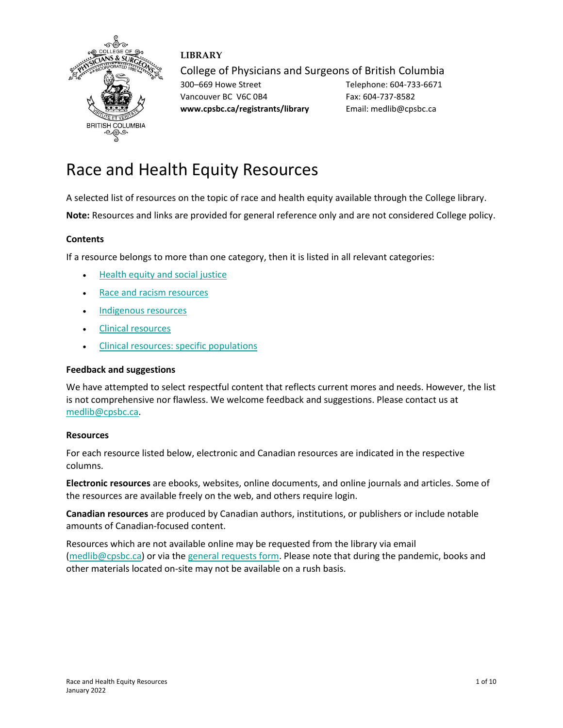

## **LIBRARY**

College of Physicians and Surgeons of British Columbia

300–669 Howe Street Telephone: 604-733-6671 Vancouver BC V6C 0B4 Fax: 604-737-8582 **www.cpsbc.ca/registrants/library** Email: medlib@cpsbc.ca

# Race and Health Equity Resources

A selected list of resources on the topic of race and health equity available through the College library.

**Note:** Resources and links are provided for general reference only and are not considered College policy.

## **Contents**

If a resource belongs to more than one category, then it is listed in all relevant categories:

- [Health equity and social justice](#page-0-0)
- [Race and racism resources](#page-2-0)
- [Indigenous resources](#page-4-0)
- [Clinical resources](#page-6-0)
- [Clinical resources: specific populations](#page-8-0)

## **Feedback and suggestions**

We have attempted to select respectful content that reflects current mores and needs. However, the list is not comprehensive nor flawless. We welcome feedback and suggestions. Please contact us at [medlib@cpsbc.ca.](mailto:medlib@cpsbc.ca)

## **Resources**

For each resource listed below, electronic and Canadian resources are indicated in the respective columns.

**Electronic resources** are ebooks, websites, online documents, and online journals and articles. Some of the resources are available freely on the web, and others require login.

**Canadian resources** are produced by Canadian authors, institutions, or publishers or include notable amounts of Canadian-focused content.

<span id="page-0-0"></span>Resources which are not available online may be requested from the library via email [\(medlib@cpsbc.ca\)](mailto:medlib@cpsbc.ca) or via th[e general requests form.](https://www.cpsbc.ca/registrants/library/make-request) Please note that during the pandemic, books and other materials located on-site may not be available on a rush basis.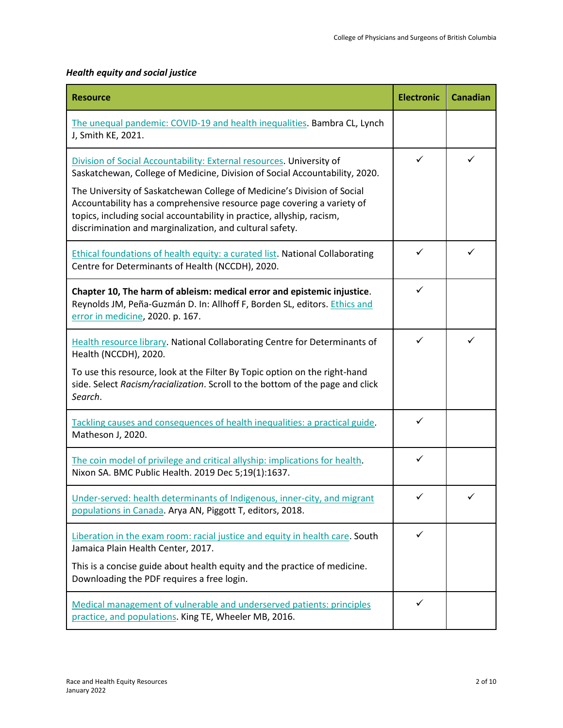# *Health equity and social justice*

| <b>Resource</b>                                                                                                                                                                                                                                                                                                                                                                                                                                | <b>Electronic</b> | <b>Canadian</b> |
|------------------------------------------------------------------------------------------------------------------------------------------------------------------------------------------------------------------------------------------------------------------------------------------------------------------------------------------------------------------------------------------------------------------------------------------------|-------------------|-----------------|
| The unequal pandemic: COVID-19 and health inequalities. Bambra CL, Lynch<br>J, Smith KE, 2021.                                                                                                                                                                                                                                                                                                                                                 |                   |                 |
| Division of Social Accountability: External resources. University of<br>Saskatchewan, College of Medicine, Division of Social Accountability, 2020.<br>The University of Saskatchewan College of Medicine's Division of Social<br>Accountability has a comprehensive resource page covering a variety of<br>topics, including social accountability in practice, allyship, racism,<br>discrimination and marginalization, and cultural safety. | ✓                 | ✓               |
| Ethical foundations of health equity: a curated list. National Collaborating<br>Centre for Determinants of Health (NCCDH), 2020.                                                                                                                                                                                                                                                                                                               | $\checkmark$      | ✓               |
| Chapter 10, The harm of ableism: medical error and epistemic injustice.<br>Reynolds JM, Peña-Guzmán D. In: Allhoff F, Borden SL, editors. Ethics and<br>error in medicine, 2020. p. 167.                                                                                                                                                                                                                                                       | ✓                 |                 |
| <b>Health resource library. National Collaborating Centre for Determinants of</b><br>Health (NCCDH), 2020.<br>To use this resource, look at the Filter By Topic option on the right-hand<br>side. Select Racism/racialization. Scroll to the bottom of the page and click<br>Search.                                                                                                                                                           | $\checkmark$      | ✓               |
| Tackling causes and consequences of health inequalities: a practical guide.<br>Matheson J, 2020.                                                                                                                                                                                                                                                                                                                                               | ✓                 |                 |
| The coin model of privilege and critical allyship: implications for health.<br>Nixon SA. BMC Public Health. 2019 Dec 5;19(1):1637.                                                                                                                                                                                                                                                                                                             | ✓                 |                 |
| Under-served: health determinants of Indigenous, inner-city, and migrant<br>populations in Canada. Arya AN, Piggott T, editors, 2018.                                                                                                                                                                                                                                                                                                          |                   |                 |
| Liberation in the exam room: racial justice and equity in health care. South<br>Jamaica Plain Health Center, 2017.<br>This is a concise guide about health equity and the practice of medicine.<br>Downloading the PDF requires a free login.                                                                                                                                                                                                  | ✓                 |                 |
| Medical management of vulnerable and underserved patients: principles<br>practice, and populations. King TE, Wheeler MB, 2016.                                                                                                                                                                                                                                                                                                                 | ✓                 |                 |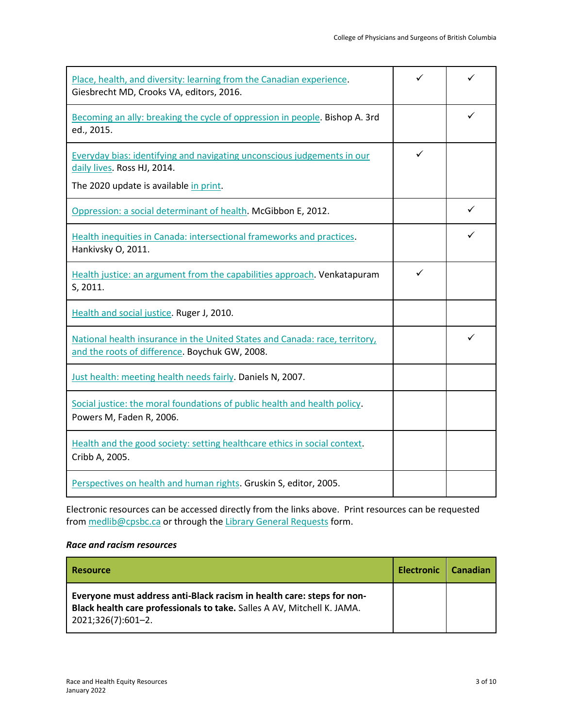| Place, health, and diversity: learning from the Canadian experience.<br>Giesbrecht MD, Crooks VA, editors, 2016.                                 |   | ✓ |
|--------------------------------------------------------------------------------------------------------------------------------------------------|---|---|
| Becoming an ally: breaking the cycle of oppression in people. Bishop A. 3rd<br>ed., 2015.                                                        |   | ✓ |
| Everyday bias: identifying and navigating unconscious judgements in our<br>daily lives. Ross HJ, 2014.<br>The 2020 update is available in print. | ✓ |   |
| Oppression: a social determinant of health. McGibbon E, 2012.                                                                                    |   | ✓ |
|                                                                                                                                                  |   |   |
| Health inequities in Canada: intersectional frameworks and practices.<br>Hankivsky O, 2011.                                                      |   |   |
| Health justice: an argument from the capabilities approach. Venkatapuram<br>S, 2011.                                                             | ✓ |   |
| Health and social justice. Ruger J, 2010.                                                                                                        |   |   |
| National health insurance in the United States and Canada: race, territory,<br>and the roots of difference. Boychuk GW, 2008.                    |   | ✓ |
| Just health: meeting health needs fairly. Daniels N, 2007.                                                                                       |   |   |
| Social justice: the moral foundations of public health and health policy.<br>Powers M, Faden R, 2006.                                            |   |   |
| Health and the good society: setting healthcare ethics in social context.<br>Cribb A, 2005.                                                      |   |   |
| Perspectives on health and human rights. Gruskin S, editor, 2005.                                                                                |   |   |

## <span id="page-2-0"></span>*Race and racism resources*

| <b>Resource</b>                                                                                                                                                         | <b>Electronic</b> | Canadian |
|-------------------------------------------------------------------------------------------------------------------------------------------------------------------------|-------------------|----------|
| Everyone must address anti-Black racism in health care: steps for non-<br>Black health care professionals to take. Salles A AV, Mitchell K. JAMA.<br>2021;326(7):601-2. |                   |          |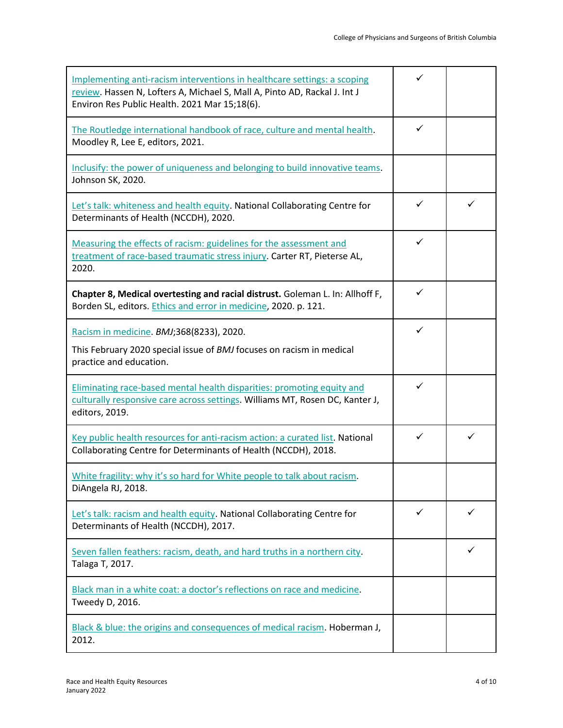| Implementing anti-racism interventions in healthcare settings: a scoping<br>review. Hassen N, Lofters A, Michael S, Mall A, Pinto AD, Rackal J. Int J<br>Environ Res Public Health. 2021 Mar 15;18(6). | $\checkmark$ |   |
|--------------------------------------------------------------------------------------------------------------------------------------------------------------------------------------------------------|--------------|---|
| The Routledge international handbook of race, culture and mental health.<br>Moodley R, Lee E, editors, 2021.                                                                                           | $\checkmark$ |   |
| Inclusify: the power of uniqueness and belonging to build innovative teams.<br>Johnson SK, 2020.                                                                                                       |              |   |
| Let's talk: whiteness and health equity. National Collaborating Centre for<br>Determinants of Health (NCCDH), 2020.                                                                                    | $\checkmark$ | ✓ |
| Measuring the effects of racism: guidelines for the assessment and<br>treatment of race-based traumatic stress injury. Carter RT, Pieterse AL,<br>2020.                                                | ✓            |   |
| Chapter 8, Medical overtesting and racial distrust. Goleman L. In: Allhoff F,<br>Borden SL, editors. Ethics and error in medicine, 2020. p. 121.                                                       | $\checkmark$ |   |
| Racism in medicine. BMJ;368(8233), 2020.<br>This February 2020 special issue of BMJ focuses on racism in medical<br>practice and education.                                                            | ✓            |   |
| Eliminating race-based mental health disparities: promoting equity and<br>culturally responsive care across settings. Williams MT, Rosen DC, Kanter J,<br>editors, 2019.                               | $\checkmark$ |   |
| Key public health resources for anti-racism action: a curated list. National<br>Collaborating Centre for Determinants of Health (NCCDH), 2018.                                                         | ✓            | ✓ |
| White fragility: why it's so hard for White people to talk about racism.<br>DiAngela RJ, 2018.                                                                                                         |              |   |
| Let's talk: racism and health equity. National Collaborating Centre for<br>Determinants of Health (NCCDH), 2017.                                                                                       | ✓            |   |
| Seven fallen feathers: racism, death, and hard truths in a northern city.<br>Talaga T, 2017.                                                                                                           |              | ✓ |
| Black man in a white coat: a doctor's reflections on race and medicine.<br>Tweedy D, 2016.                                                                                                             |              |   |
| Black & blue: the origins and consequences of medical racism. Hoberman J,<br>2012.                                                                                                                     |              |   |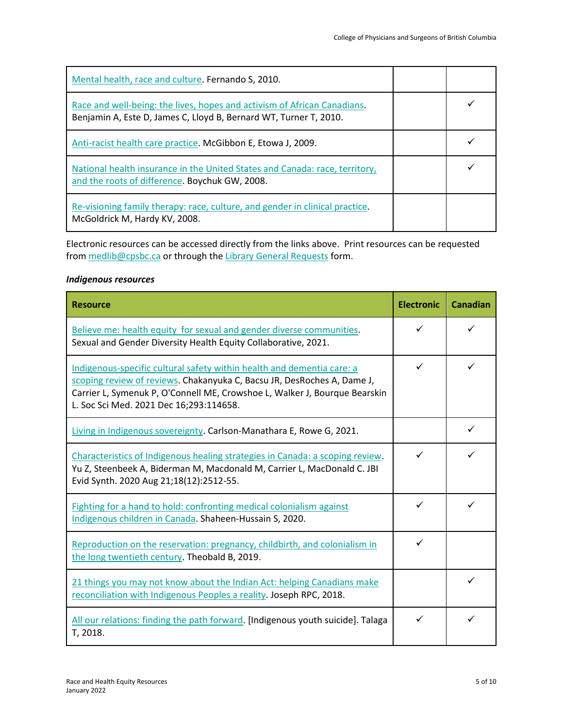| Mental health, race and culture. Fernando S, 2010.                                                                                            |  |
|-----------------------------------------------------------------------------------------------------------------------------------------------|--|
| Race and well-being: the lives, hopes and activism of African Canadians.<br>Benjamin A, Este D, James C, Lloyd B, Bernard WT, Turner T, 2010. |  |
| Anti-racist health care practice. McGibbon E, Etowa J, 2009.                                                                                  |  |
| National health insurance in the United States and Canada: race, territory,<br>and the roots of difference. Boychuk GW, 2008.                 |  |
| Re-visioning family therapy: race, culture, and gender in clinical practice.<br>McGoldrick M, Hardy KV, 2008.                                 |  |

#### <span id="page-4-0"></span>*Indigenous resources*

| <b>Resource</b>                                                                                                                                                                                                                                                            | <b>Electronic</b> | <b>Canadian</b> |
|----------------------------------------------------------------------------------------------------------------------------------------------------------------------------------------------------------------------------------------------------------------------------|-------------------|-----------------|
| Believe me: health equity for sexual and gender diverse communities.<br>Sexual and Gender Diversity Health Equity Collaborative, 2021.                                                                                                                                     | ✓                 | ✓               |
| Indigenous-specific cultural safety within health and dementia care: a<br>scoping review of reviews. Chakanyuka C, Bacsu JR, DesRoches A, Dame J,<br>Carrier L, Symenuk P, O'Connell ME, Crowshoe L, Walker J, Bourque Bearskin<br>L. Soc Sci Med. 2021 Dec 16;293:114658. | ✓                 | ✓               |
| Living in Indigenous sovereignty. Carlson-Manathara E, Rowe G, 2021.                                                                                                                                                                                                       |                   | ✓               |
| Characteristics of Indigenous healing strategies in Canada: a scoping review.<br>Yu Z, Steenbeek A, Biderman M, Macdonald M, Carrier L, MacDonald C. JBI<br>Evid Synth. 2020 Aug 21;18(12):2512-55.                                                                        | ✓                 | ✓               |
| Fighting for a hand to hold: confronting medical colonialism against<br>Indigenous children in Canada. Shaheen-Hussain S, 2020.                                                                                                                                            | ✓                 | ✓               |
| Reproduction on the reservation: pregnancy, childbirth, and colonialism in<br>the long twentieth century. Theobald B, 2019.                                                                                                                                                | ✓                 |                 |
| 21 things you may not know about the Indian Act: helping Canadians make<br>reconciliation with Indigenous Peoples a reality. Joseph RPC, 2018.                                                                                                                             |                   | ✓               |
| All our relations: finding the path forward. [Indigenous youth suicide]. Talaga<br>T, 2018.                                                                                                                                                                                | ✓                 | ✓               |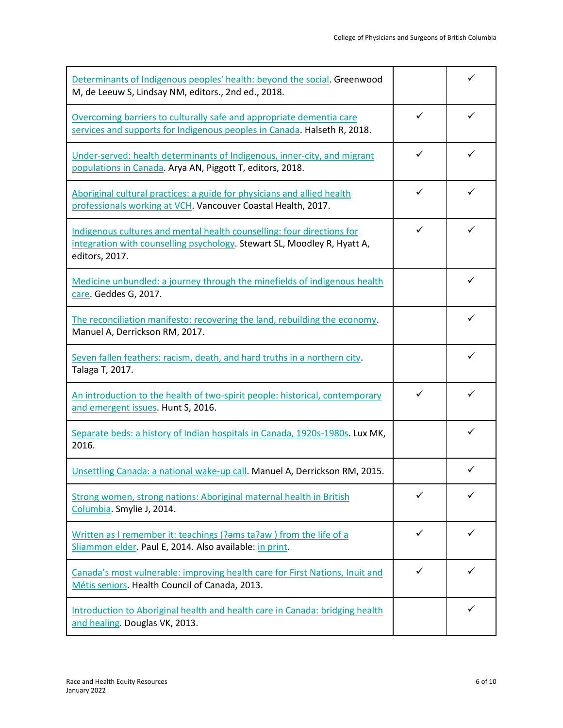| Determinants of Indigenous peoples' health: beyond the social. Greenwood<br>M, de Leeuw S, Lindsay NM, editors., 2nd ed., 2018.                                      |              | ✓            |
|----------------------------------------------------------------------------------------------------------------------------------------------------------------------|--------------|--------------|
| Overcoming barriers to culturally safe and appropriate dementia care<br>services and supports for Indigenous peoples in Canada. Halseth R, 2018.                     | $\checkmark$ | ✓            |
| Under-served: health determinants of Indigenous, inner-city, and migrant<br>populations in Canada. Arya AN, Piggott T, editors, 2018.                                | ✓            | ✓            |
| Aboriginal cultural practices: a guide for physicians and allied health<br>professionals working at VCH. Vancouver Coastal Health, 2017.                             | $\checkmark$ | $\checkmark$ |
| Indigenous cultures and mental health counselling: four directions for<br>integration with counselling psychology. Stewart SL, Moodley R, Hyatt A,<br>editors, 2017. | ✓            | ✓            |
| Medicine unbundled: a journey through the minefields of indigenous health<br>care. Geddes G, 2017.                                                                   |              | $\checkmark$ |
| The reconciliation manifesto: recovering the land, rebuilding the economy.<br>Manuel A, Derrickson RM, 2017.                                                         |              | ✓            |
| Seven fallen feathers: racism, death, and hard truths in a northern city.<br>Talaga T, 2017.                                                                         |              | ✓            |
| An introduction to the health of two-spirit people: historical, contemporary<br>and emergent issues. Hunt S, 2016.                                                   | ✓            | ✓            |
| Separate beds: a history of Indian hospitals in Canada, 1920s-1980s. Lux MK,<br>2016.                                                                                |              | ✓            |
| Unsettling Canada: a national wake-up call. Manuel A, Derrickson RM, 2015.                                                                                           |              | ✓            |
| Strong women, strong nations: Aboriginal maternal health in British<br>Columbia. Smylie J, 2014.                                                                     | ✓            | ✓            |
| Written as I remember it: teachings (?ams ta?aw) from the life of a<br>Sliammon elder. Paul E, 2014. Also available: in print.                                       | ✓            |              |
| Canada's most vulnerable: improving health care for First Nations, Inuit and<br>Métis seniors. Health Council of Canada, 2013.                                       | ✓            | ✓            |
| Introduction to Aboriginal health and health care in Canada: bridging health<br>and healing. Douglas VK, 2013.                                                       |              | ✓            |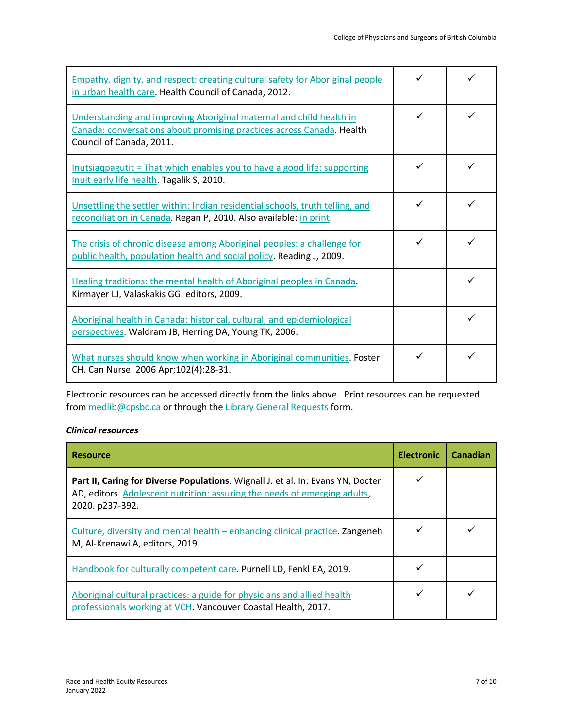| Empathy, dignity, and respect: creating cultural safety for Aboriginal people<br>in urban health care. Health Council of Canada, 2012.                                   |  |
|--------------------------------------------------------------------------------------------------------------------------------------------------------------------------|--|
| Understanding and improving Aboriginal maternal and child health in<br>Canada: conversations about promising practices across Canada. Health<br>Council of Canada, 2011. |  |
| Inutsiagpagutit = That which enables you to have a good life: supporting<br>Inuit early life health. Tagalik S, 2010.                                                    |  |
| Unsettling the settler within: Indian residential schools, truth telling, and<br>reconciliation in Canada. Regan P, 2010. Also available: in print.                      |  |
| The crisis of chronic disease among Aboriginal peoples: a challenge for<br>public health, population health and social policy. Reading J, 2009.                          |  |
| Healing traditions: the mental health of Aboriginal peoples in Canada.<br>Kirmayer LJ, Valaskakis GG, editors, 2009.                                                     |  |
| Aboriginal health in Canada: historical, cultural, and epidemiological<br>perspectives. Waldram JB, Herring DA, Young TK, 2006.                                          |  |
| What nurses should know when working in Aboriginal communities. Foster<br>CH. Can Nurse. 2006 Apr;102(4):28-31.                                                          |  |

## <span id="page-6-0"></span>*Clinical resources*

| <b>Resource</b>                                                                                                                                                                 | <b>Electronic</b> | Canadian |
|---------------------------------------------------------------------------------------------------------------------------------------------------------------------------------|-------------------|----------|
| Part II, Caring for Diverse Populations. Wignall J. et al. In: Evans YN, Docter<br>AD, editors. Adolescent nutrition: assuring the needs of emerging adults,<br>2020. p237-392. |                   |          |
| Culture, diversity and mental health – enhancing clinical practice. Zangeneh<br>M, Al-Krenawi A, editors, 2019.                                                                 |                   |          |
| Handbook for culturally competent care. Purnell LD, Fenkl EA, 2019.                                                                                                             |                   |          |
| Aboriginal cultural practices: a guide for physicians and allied health<br>professionals working at VCH. Vancouver Coastal Health, 2017.                                        |                   |          |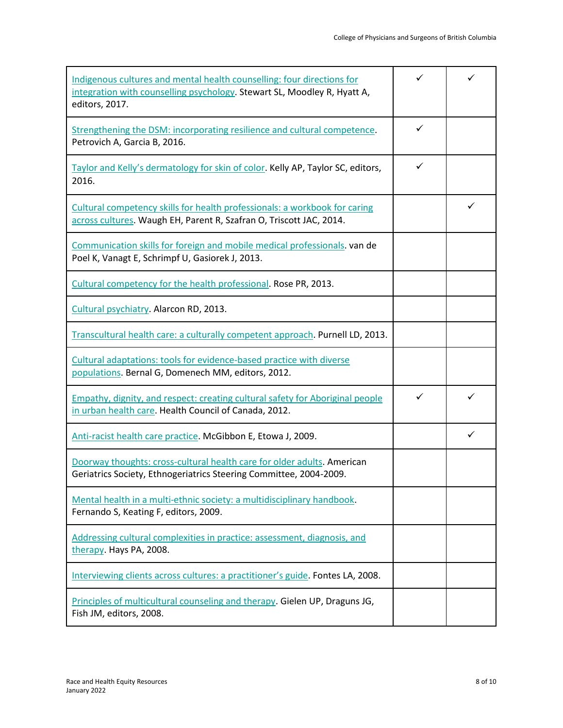| Indigenous cultures and mental health counselling: four directions for<br>integration with counselling psychology. Stewart SL, Moodley R, Hyatt A,<br>editors, 2017. | ✓            |   |
|----------------------------------------------------------------------------------------------------------------------------------------------------------------------|--------------|---|
| Strengthening the DSM: incorporating resilience and cultural competence.<br>Petrovich A, Garcia B, 2016.                                                             | $\checkmark$ |   |
| Taylor and Kelly's dermatology for skin of color. Kelly AP, Taylor SC, editors,<br>2016.                                                                             | ✓            |   |
| Cultural competency skills for health professionals: a workbook for caring<br>across cultures. Waugh EH, Parent R, Szafran O, Triscott JAC, 2014.                    |              | ✓ |
| Communication skills for foreign and mobile medical professionals. van de<br>Poel K, Vanagt E, Schrimpf U, Gasiorek J, 2013.                                         |              |   |
| Cultural competency for the health professional. Rose PR, 2013.                                                                                                      |              |   |
| Cultural psychiatry. Alarcon RD, 2013.                                                                                                                               |              |   |
| Transcultural health care: a culturally competent approach. Purnell LD, 2013.                                                                                        |              |   |
| Cultural adaptations: tools for evidence-based practice with diverse<br>populations. Bernal G, Domenech MM, editors, 2012.                                           |              |   |
| Empathy, dignity, and respect: creating cultural safety for Aboriginal people<br>in urban health care. Health Council of Canada, 2012.                               | ✓            | ✓ |
| Anti-racist health care practice. McGibbon E, Etowa J, 2009.                                                                                                         |              | ✓ |
| Doorway thoughts: cross-cultural health care for older adults. American<br>Geriatrics Society, Ethnogeriatrics Steering Committee, 2004-2009.                        |              |   |
| Mental health in a multi-ethnic society: a multidisciplinary handbook.<br>Fernando S, Keating F, editors, 2009.                                                      |              |   |
| Addressing cultural complexities in practice: assessment, diagnosis, and<br>therapy. Hays PA, 2008.                                                                  |              |   |
| Interviewing clients across cultures: a practitioner's guide. Fontes LA, 2008.                                                                                       |              |   |
| Principles of multicultural counseling and therapy. Gielen UP, Draguns JG,<br>Fish JM, editors, 2008.                                                                |              |   |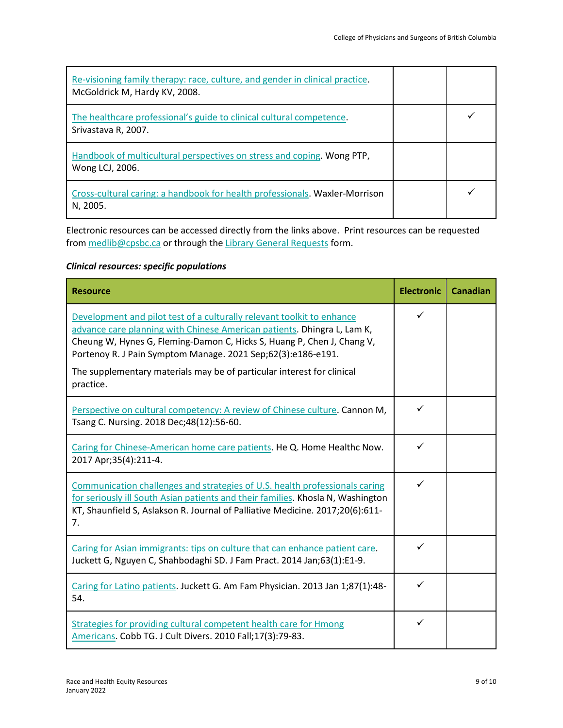| Re-visioning family therapy: race, culture, and gender in clinical practice.<br>McGoldrick M, Hardy KV, 2008. |  |
|---------------------------------------------------------------------------------------------------------------|--|
| The healthcare professional's guide to clinical cultural competence.<br>Srivastava R, 2007.                   |  |
| Handbook of multicultural perspectives on stress and coping. Wong PTP,<br>Wong LCJ, 2006.                     |  |
| Cross-cultural caring: a handbook for health professionals. Waxler-Morrison<br>N, 2005.                       |  |

## <span id="page-8-0"></span>*Clinical resources: specific populations*

| <b>Resource</b>                                                                                                                                                                                                                                                                                                                                                                    | <b>Electronic</b> | <b>Canadian</b> |
|------------------------------------------------------------------------------------------------------------------------------------------------------------------------------------------------------------------------------------------------------------------------------------------------------------------------------------------------------------------------------------|-------------------|-----------------|
| Development and pilot test of a culturally relevant toolkit to enhance<br>advance care planning with Chinese American patients. Dhingra L, Lam K,<br>Cheung W, Hynes G, Fleming-Damon C, Hicks S, Huang P, Chen J, Chang V,<br>Portenoy R. J Pain Symptom Manage. 2021 Sep;62(3):e186-e191.<br>The supplementary materials may be of particular interest for clinical<br>practice. | ✓                 |                 |
| Perspective on cultural competency: A review of Chinese culture. Cannon M,<br>Tsang C. Nursing. 2018 Dec; 48(12): 56-60.                                                                                                                                                                                                                                                           | $\checkmark$      |                 |
| Caring for Chinese-American home care patients. He Q. Home Healthc Now.<br>2017 Apr;35(4):211-4.                                                                                                                                                                                                                                                                                   | $\checkmark$      |                 |
| Communication challenges and strategies of U.S. health professionals caring<br>for seriously ill South Asian patients and their families. Khosla N, Washington<br>KT, Shaunfield S, Aslakson R. Journal of Palliative Medicine. 2017;20(6):611-<br>7.                                                                                                                              | ✓                 |                 |
| Caring for Asian immigrants: tips on culture that can enhance patient care.<br>Juckett G, Nguyen C, Shahbodaghi SD. J Fam Pract. 2014 Jan;63(1):E1-9.                                                                                                                                                                                                                              | $\checkmark$      |                 |
| Caring for Latino patients. Juckett G. Am Fam Physician. 2013 Jan 1;87(1):48-<br>54.                                                                                                                                                                                                                                                                                               | ✓                 |                 |
| Strategies for providing cultural competent health care for Hmong<br>Americans. Cobb TG. J Cult Divers. 2010 Fall;17(3):79-83.                                                                                                                                                                                                                                                     | $\checkmark$      |                 |